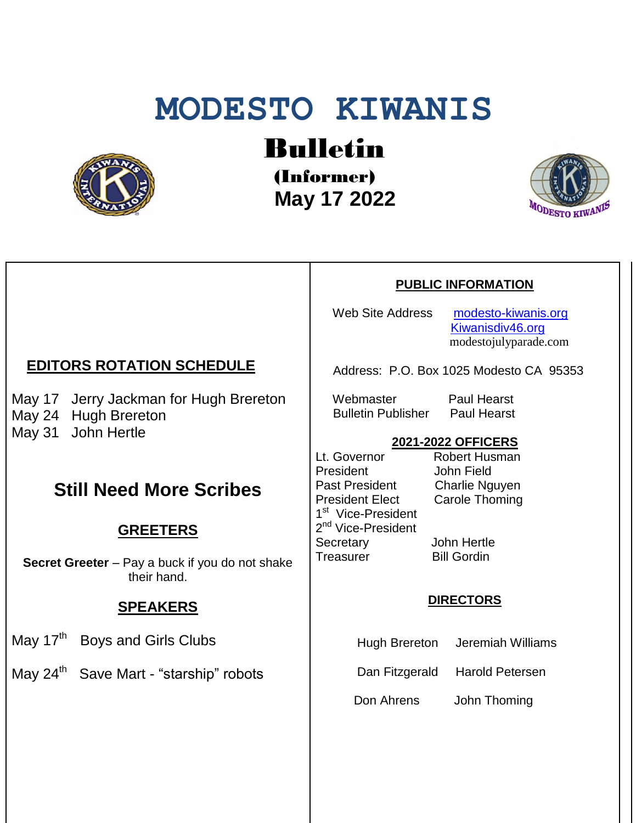# **MODESTO KIWANIS**



Bulletin

(Informer)  **May 17 2022**



#### **PUBLIC INFORMATION**

Web Site Address [modesto-kiwanis.org](http://modesto-kiwanis.org/) [Kiwanisdiv46.org](http://www.kiwanisdiv46.org/) modestojulyparade.com

Address: P.O. Box 1025 Modesto CA 95353

Webmaster Paul Hearst Bulletin Publisher Paul Hearst

#### **2021-2022 OFFICERS**

Lt. Governor Robert Husman President John Field Past President Charlie Nguyen President Elect Carole Thoming 1<sup>st</sup> Vice-President 2<sup>nd</sup> Vice-President Secretary John Hertle Treasurer Bill Gordin

#### **DIRECTORS**

Hugh Brereton Jeremiah Williams

Dan Fitzgerald Harold Petersen

Don Ahrens John Thoming

## **EDITORS ROTATION SCHEDULE**

May 17 Jerry Jackman for Hugh Brereton May 24 Hugh Brereton May 31 John Hertle

## **Still Need More Scribes**

## **GREETERS**

**Secret Greeter** – Pay a buck if you do not shake their hand.

## **SPEAKERS**

May 17<sup>th</sup> Boys and Girls Clubs

May 24<sup>th</sup> Save Mart - "starship" robots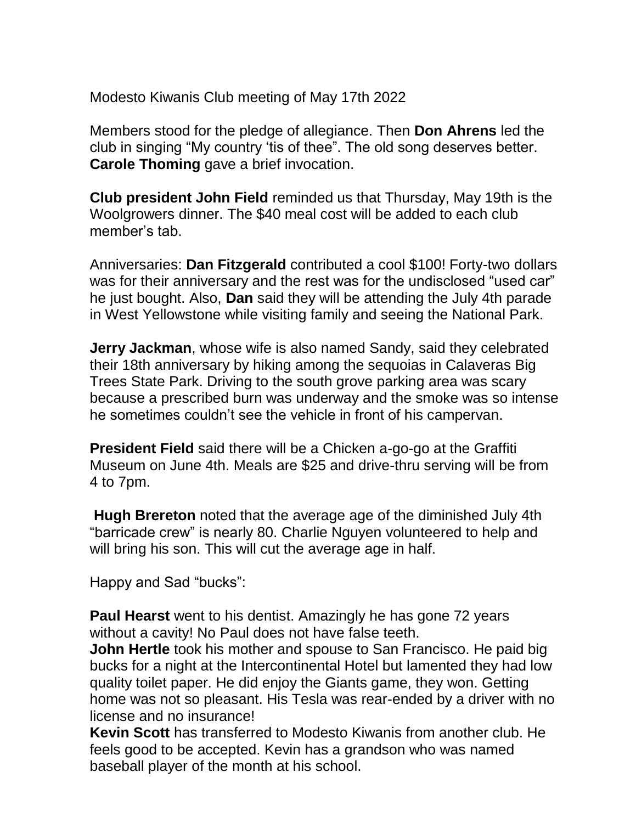Modesto Kiwanis Club meeting of May 17th 2022

Members stood for the pledge of allegiance. Then **Don Ahrens** led the club in singing "My country 'tis of thee". The old song deserves better. **Carole Thoming** gave a brief invocation.

**Club president John Field** reminded us that Thursday, May 19th is the Woolgrowers dinner. The \$40 meal cost will be added to each club member's tab.

Anniversaries: **Dan Fitzgerald** contributed a cool \$100! Forty-two dollars was for their anniversary and the rest was for the undisclosed "used car" he just bought. Also, **Dan** said they will be attending the July 4th parade in West Yellowstone while visiting family and seeing the National Park.

**Jerry Jackman**, whose wife is also named Sandy, said they celebrated their 18th anniversary by hiking among the sequoias in Calaveras Big Trees State Park. Driving to the south grove parking area was scary because a prescribed burn was underway and the smoke was so intense he sometimes couldn't see the vehicle in front of his campervan.

**President Field** said there will be a Chicken a-go-go at the Graffiti Museum on June 4th. Meals are \$25 and drive-thru serving will be from 4 to 7pm.

**Hugh Brereton** noted that the average age of the diminished July 4th "barricade crew" is nearly 80. Charlie Nguyen volunteered to help and will bring his son. This will cut the average age in half.

Happy and Sad "bucks":

**Paul Hearst** went to his dentist. Amazingly he has gone 72 years without a cavity! No Paul does not have false teeth.

**John Hertle** took his mother and spouse to San Francisco. He paid big bucks for a night at the Intercontinental Hotel but lamented they had low quality toilet paper. He did enjoy the Giants game, they won. Getting home was not so pleasant. His Tesla was rear-ended by a driver with no license and no insurance!

**Kevin Scott** has transferred to Modesto Kiwanis from another club. He feels good to be accepted. Kevin has a grandson who was named baseball player of the month at his school.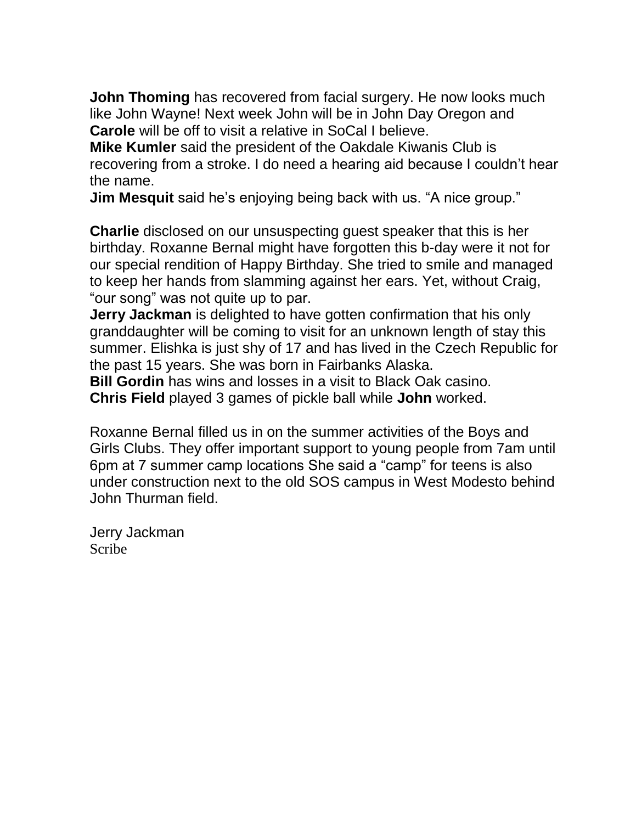**John Thoming** has recovered from facial surgery. He now looks much like John Wayne! Next week John will be in John Day Oregon and **Carole** will be off to visit a relative in SoCal I believe.

**Mike Kumler** said the president of the Oakdale Kiwanis Club is recovering from a stroke. I do need a hearing aid because I couldn't hear the name.

**Jim Mesquit** said he's enjoying being back with us. "A nice group."

**Charlie** disclosed on our unsuspecting guest speaker that this is her birthday. Roxanne Bernal might have forgotten this b-day were it not for our special rendition of Happy Birthday. She tried to smile and managed to keep her hands from slamming against her ears. Yet, without Craig, "our song" was not quite up to par.

**Jerry Jackman** is delighted to have gotten confirmation that his only granddaughter will be coming to visit for an unknown length of stay this summer. Elishka is just shy of 17 and has lived in the Czech Republic for the past 15 years. She was born in Fairbanks Alaska.

**Bill Gordin** has wins and losses in a visit to Black Oak casino. **Chris Field** played 3 games of pickle ball while **John** worked.

Roxanne Bernal filled us in on the summer activities of the Boys and Girls Clubs. They offer important support to young people from 7am until 6pm at 7 summer camp locations She said a "camp" for teens is also under construction next to the old SOS campus in West Modesto behind John Thurman field.

Jerry Jackman Scribe